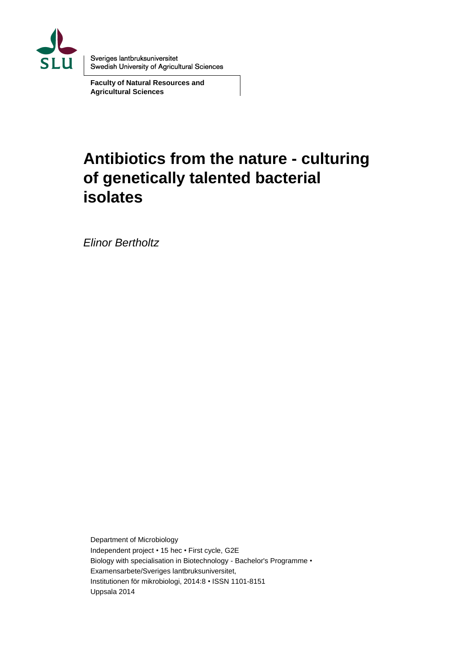

Sveriges lantbruksuniversitet Swedish University of Agricultural Sciences

**Faculty of Natural Resources and Agricultural Sciences**

# **Antibiotics from the nature - culturing of genetically talented bacterial isolates**

*Elinor Bertholtz*

Department of Microbiology Independent project • 15 hec • First cycle, G2E Biology with specialisation in Biotechnology - Bachelor's Programme • Examensarbete/Sveriges lantbruksuniversitet, Institutionen för mikrobiologi, 2014:8 • ISSN 1101-8151 Uppsala 2014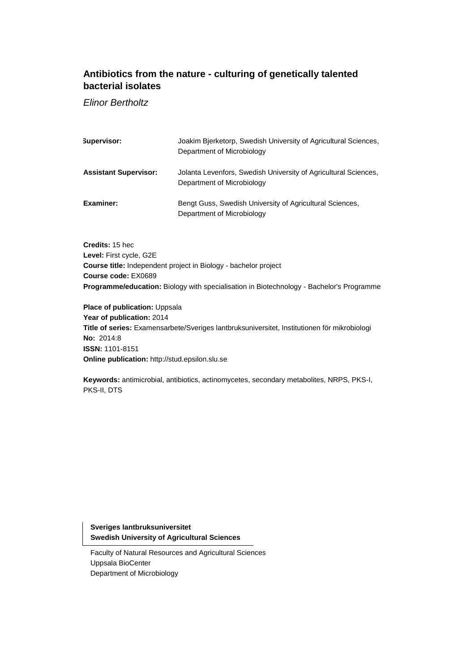### **Antibiotics from the nature - culturing of genetically talented bacterial isolates**

*Elinor Bertholtz*

| Supervisor:                  | Joakim Bierketorp, Swedish University of Agricultural Sciences,<br>Department of Microbiology |
|------------------------------|-----------------------------------------------------------------------------------------------|
| <b>Assistant Supervisor:</b> | Jolanta Levenfors, Swedish University of Agricultural Sciences,<br>Department of Microbiology |
| Examiner:                    | Bengt Guss, Swedish University of Agricultural Sciences,<br>Department of Microbiology        |

**Credits:** 15 hec **Level:** First cycle, G2E **Course title:** Independent project in Biology - bachelor project **Course code:** EX0689 **Programme/education:** Biology with specialisation in Biotechnology - Bachelor's Programme

**Place of publication:** Uppsala **Year of publication:** 2014 **Title of series:** Examensarbete/Sveriges lantbruksuniversitet, Institutionen för mikrobiologi **No:** 2014:8 **ISSN:** 1101-8151 **Online publication:** http://stud.epsilon.slu.se

**Keywords:** antimicrobial, antibiotics, actinomycetes, secondary metabolites, NRPS, PKS-I, PKS-II, DTS

**Sveriges lantbruksuniversitet Swedish University of Agricultural Sciences**

Faculty of Natural Resources and Agricultural Sciences Uppsala BioCenter Department of Microbiology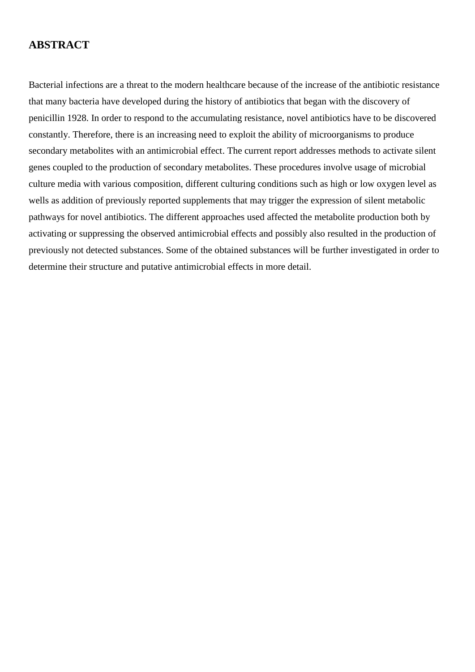### **ABSTRACT**

Bacterial infections are a threat to the modern healthcare because of the increase of the antibiotic resistance that many bacteria have developed during the history of antibiotics that began with the discovery of penicillin 1928. In order to respond to the accumulating resistance, novel antibiotics have to be discovered constantly. Therefore, there is an increasing need to exploit the ability of microorganisms to produce secondary metabolites with an antimicrobial effect. The current report addresses methods to activate silent genes coupled to the production of secondary metabolites. These procedures involve usage of microbial culture media with various composition, different culturing conditions such as high or low oxygen level as wells as addition of previously reported supplements that may trigger the expression of silent metabolic pathways for novel antibiotics. The different approaches used affected the metabolite production both by activating or suppressing the observed antimicrobial effects and possibly also resulted in the production of previously not detected substances. Some of the obtained substances will be further investigated in order to determine their structure and putative antimicrobial effects in more detail.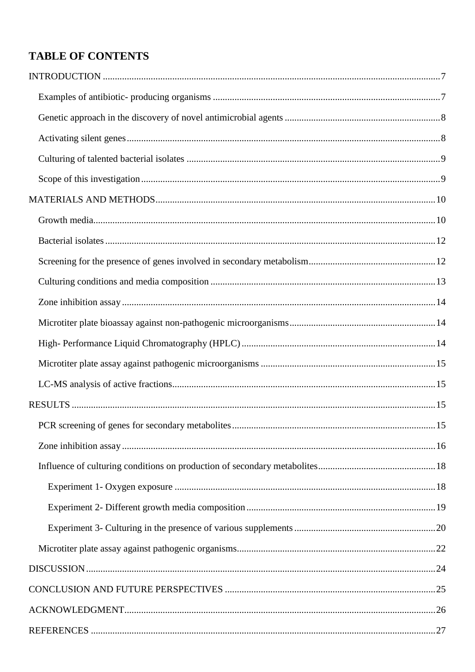# **TABLE OF CONTENTS**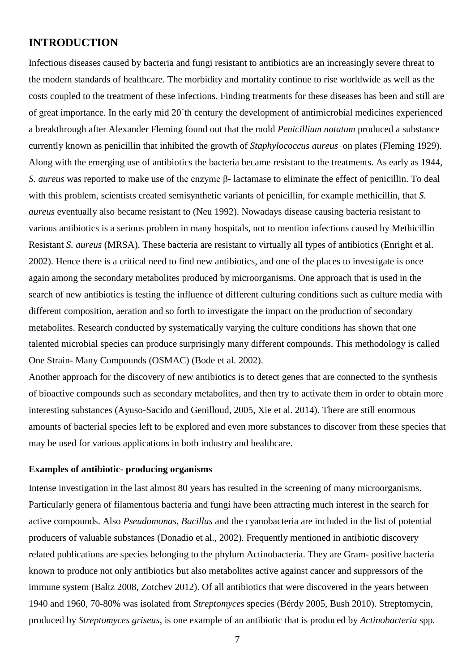# <span id="page-8-0"></span>**INTRODUCTION**

Infectious diseases caused by bacteria and fungi resistant to antibiotics are an increasingly severe threat to the modern standards of healthcare. The morbidity and mortality continue to rise worldwide as well as the costs coupled to the treatment of these infections. Finding treatments for these diseases has been and still are of great importance. In the early mid 20´th century the development of antimicrobial medicines experienced a breakthrough after Alexander Fleming found out that the mold *Penicillium notatum* produced a substance currently known as penicillin that inhibited the growth of *Staphylococcus aureus* on plates (Fleming 1929). Along with the emerging use of antibiotics the bacteria became resistant to the treatments. As early as 1944, *S. aureus* was reported to make use of the enzyme β- lactamase to eliminate the effect of penicillin. To deal with this problem, scientists created semisynthetic variants of penicillin, for example methicillin, that *S*. *aureus* eventually also became resistant to (Neu 1992). Nowadays disease causing bacteria resistant to various antibiotics is a serious problem in many hospitals, not to mention infections caused by Methicillin Resistant *S. aureus* (MRSA). These bacteria are resistant to virtually all types of antibiotics (Enright et al. 2002). Hence there is a critical need to find new antibiotics, and one of the places to investigate is once again among the secondary metabolites produced by microorganisms. One approach that is used in the search of new antibiotics is testing the influence of different culturing conditions such as culture media with different composition, aeration and so forth to investigate the impact on the production of secondary metabolites. Research conducted by systematically varying the culture conditions has shown that one talented microbial species can produce surprisingly many different compounds. This methodology is called One Strain- Many Compounds (OSMAC) (Bode et al. 2002).

Another approach for the discovery of new antibiotics is to detect genes that are connected to the synthesis of bioactive compounds such as secondary metabolites, and then try to activate them in order to obtain more interesting substances (Ayuso-Sacido and Genilloud, 2005, Xie et al. 2014). There are still enormous amounts of bacterial species left to be explored and even more substances to discover from these species that may be used for various applications in both industry and healthcare.

#### <span id="page-8-1"></span>**Examples of antibiotic- producing organisms**

Intense investigation in the last almost 80 years has resulted in the screening of many microorganisms. Particularly genera of filamentous bacteria and fungi have been attracting much interest in the search for active compounds. Also *Pseudomonas, Bacillus* and the cyanobacteria are included in the list of potential producers of valuable substances (Donadio et al., 2002). Frequently mentioned in antibiotic discovery related publications are species belonging to the phylum Actinobacteria. They are Gram- positive bacteria known to produce not only antibiotics but also metabolites active against cancer and suppressors of the immune system (Baltz 2008, Zotchev 2012). Of all antibiotics that were discovered in the years between 1940 and 1960, 70-80% was isolated from *Streptomyces* species (Bérdy 2005, Bush 2010). Streptomycin, produced by *Streptomyces griseus*, is one example of an antibiotic that is produced by *Actinobacteria* spp*.*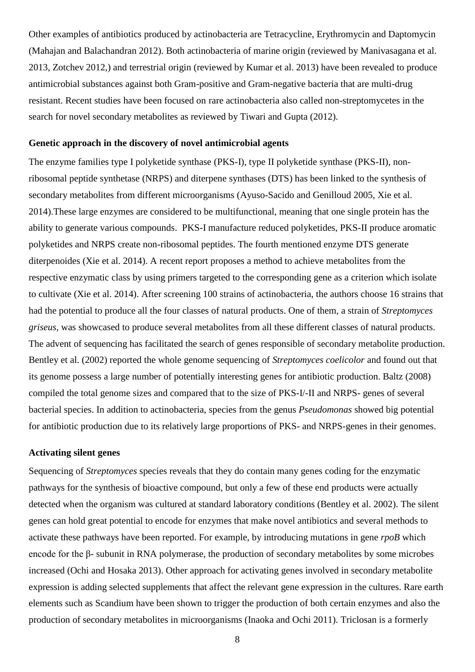Other examples of antibiotics produced by actinobacteria are Tetracycline, Erythromycin and Daptomycin (Mahajan and Balachandran 2012). Both actinobacteria of marine origin (reviewed by Manivasagana et al. 2013, Zotchev 2012,) and terrestrial origin (reviewed by Kumar et al. 2013) have been revealed to produce antimicrobial substances against both Gram-positive and Gram-negative bacteria that are multi-drug resistant. Recent studies have been focused on rare actinobacteria also called non-streptomycetes in the search for novel secondary metabolites as reviewed by Tiwari and Gupta (2012).

#### <span id="page-9-0"></span>**Genetic approach in the discovery of novel antimicrobial agents**

The enzyme families type I polyketide synthase (PKS-I), type II polyketide synthase (PKS-II), nonribosomal peptide synthetase (NRPS) and diterpene synthases (DTS) has been linked to the synthesis of secondary metabolites from different microorganisms (Ayuso-Sacido and Genilloud 2005, Xie et al. 2014).These large enzymes are considered to be multifunctional, meaning that one single protein has the ability to generate various compounds. PKS-I manufacture reduced polyketides, PKS-II produce aromatic polyketides and NRPS create non-ribosomal peptides. The fourth mentioned enzyme DTS generate diterpenoides (Xie et al. 2014). A recent report proposes a method to achieve metabolites from the respective enzymatic class by using primers targeted to the corresponding gene as a criterion which isolate to cultivate (Xie et al. 2014). After screening 100 strains of actinobacteria, the authors choose 16 strains that had the potential to produce all the four classes of natural products. One of them, a strain of *Streptomyces griseus,* was showcased to produce several metabolites from all these different classes of natural products. The advent of sequencing has facilitated the search of genes responsible of secondary metabolite production. Bentley et al. (2002) reported the whole genome sequencing of *Streptomyces coelicolor* and found out that its genome possess a large number of potentially interesting genes for antibiotic production. Baltz (2008) compiled the total genome sizes and compared that to the size of PKS-I/-II and NRPS- genes of several bacterial species. In addition to actinobacteria, species from the genus *Pseudomonas* showed big potential for antibiotic production due to its relatively large proportions of PKS- and NRPS-genes in their genomes.

#### <span id="page-9-1"></span>**Activating silent genes**

Sequencing of *Streptomyces* species reveals that they do contain many genes coding for the enzymatic pathways for the synthesis of bioactive compound, but only a few of these end products were actually detected when the organism was cultured at standard laboratory conditions (Bentley et al. 2002). The silent genes can hold great potential to encode for enzymes that make novel antibiotics and several methods to activate these pathways have been reported. For example, by introducing mutations in gene *rpoB* which encode for the β- subunit in RNA polymerase, the production of secondary metabolites by some microbes increased (Ochi and Hosaka 2013). Other approach for activating genes involved in secondary metabolite expression is adding selected supplements that affect the relevant gene expression in the cultures. Rare earth elements such as Scandium have been shown to trigger the production of both certain enzymes and also the production of secondary metabolites in microorganisms (Inaoka and Ochi 2011). Triclosan is a formerly

8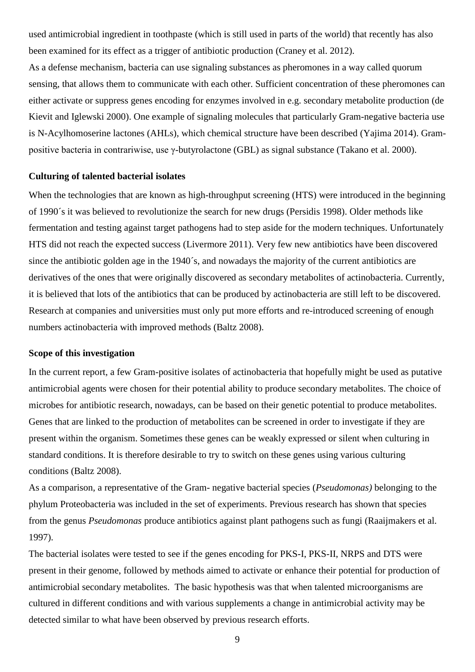used antimicrobial ingredient in toothpaste (which is still used in parts of the world) that recently has also been examined for its effect as a trigger of antibiotic production (Craney et al. 2012).

As a defense mechanism, bacteria can use signaling substances as pheromones in a way called quorum sensing, that allows them to communicate with each other. Sufficient concentration of these pheromones can either activate or suppress genes encoding for enzymes involved in e.g. secondary metabolite production (de Kievit and Iglewski 2000). One example of signaling molecules that particularly Gram-negative bacteria use is N-Acylhomoserine lactones (AHLs), which chemical structure have been described (Yajima 2014). Grampositive bacteria in contrariwise, use γ-butyrolactone (GBL) as signal substance (Takano et al. 2000).

#### <span id="page-10-0"></span>**Culturing of talented bacterial isolates**

When the technologies that are known as high-throughput screening (HTS) were introduced in the beginning of 1990´s it was believed to revolutionize the search for new drugs (Persidis 1998). Older methods like fermentation and testing against target pathogens had to step aside for the modern techniques. Unfortunately HTS did not reach the expected success (Livermore 2011). Very few new antibiotics have been discovered since the antibiotic golden age in the 1940´s, and nowadays the majority of the current antibiotics are derivatives of the ones that were originally discovered as secondary metabolites of actinobacteria. Currently, it is believed that lots of the antibiotics that can be produced by actinobacteria are still left to be discovered. Research at companies and universities must only put more efforts and re-introduced screening of enough numbers actinobacteria with improved methods (Baltz 2008).

#### <span id="page-10-1"></span>**Scope of this investigation**

In the current report, a few Gram-positive isolates of actinobacteria that hopefully might be used as putative antimicrobial agents were chosen for their potential ability to produce secondary metabolites. The choice of microbes for antibiotic research, nowadays, can be based on their genetic potential to produce metabolites. Genes that are linked to the production of metabolites can be screened in order to investigate if they are present within the organism. Sometimes these genes can be weakly expressed or silent when culturing in standard conditions. It is therefore desirable to try to switch on these genes using various culturing conditions (Baltz 2008).

As a comparison, a representative of the Gram- negative bacterial species (*Pseudomonas)* belonging to the phylum Proteobacteria was included in the set of experiments. Previous research has shown that species from the genus *Pseudomonas* produce antibiotics against plant pathogens such as fungi (Raaijmakers et al. 1997).

The bacterial isolates were tested to see if the genes encoding for PKS-I, PKS-II, NRPS and DTS were present in their genome, followed by methods aimed to activate or enhance their potential for production of antimicrobial secondary metabolites. The basic hypothesis was that when talented microorganisms are cultured in different conditions and with various supplements a change in antimicrobial activity may be detected similar to what have been observed by previous research efforts.

9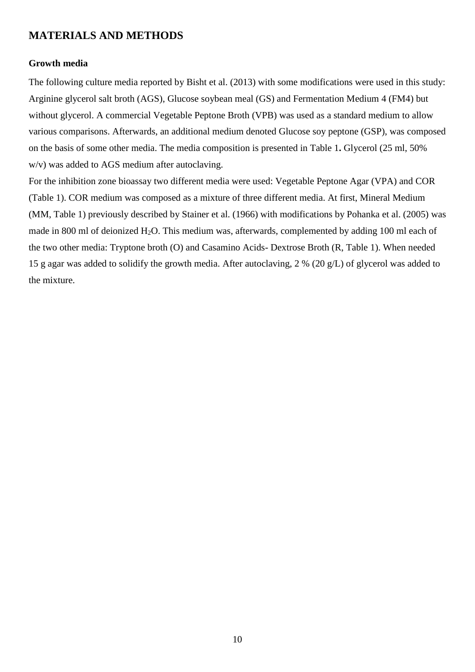# <span id="page-11-0"></span>**MATERIALS AND METHODS**

#### <span id="page-11-1"></span>**Growth media**

The following culture media reported by Bisht et al. (2013) with some modifications were used in this study: Arginine glycerol salt broth (AGS), Glucose soybean meal (GS) and Fermentation Medium 4 (FM4) but without glycerol. A commercial Vegetable Peptone Broth (VPB) was used as a standard medium to allow various comparisons. Afterwards, an additional medium denoted Glucose soy peptone (GSP), was composed on the basis of some other media. The media composition is presented in Table 1**.** Glycerol (25 ml, 50% w/v) was added to AGS medium after autoclaving.

For the inhibition zone bioassay two different media were used: Vegetable Peptone Agar (VPA) and COR (Table 1). COR medium was composed as a mixture of three different media. At first, Mineral Medium (MM, Table 1) previously described by Stainer et al. (1966) with modifications by Pohanka et al. (2005) was made in 800 ml of deionized  $H_2O$ . This medium was, afterwards, complemented by adding 100 ml each of the two other media: Tryptone broth (O) and Casamino Acids- Dextrose Broth (R, Table 1). When needed 15 g agar was added to solidify the growth media. After autoclaving, 2 % (20 g/L) of glycerol was added to the mixture.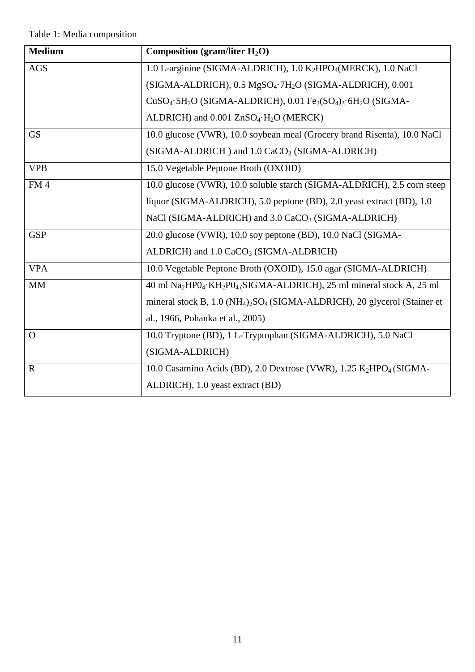| <b>Medium</b>   | Composition (gram/liter $H_2O$ )                                                                                      |
|-----------------|-----------------------------------------------------------------------------------------------------------------------|
| <b>AGS</b>      | 1.0 L-arginine (SIGMA-ALDRICH), 1.0 K2HPO4(MERCK), 1.0 NaCl                                                           |
|                 | (SIGMA-ALDRICH), 0.5 MgSO <sub>4</sub> .7H <sub>2</sub> O (SIGMA-ALDRICH), 0.001                                      |
|                 | $CuSO4·5H2O$ (SIGMA-ALDRICH), 0.01 Fe <sub>2</sub> (SO <sub>4</sub> ) <sub>3</sub> ·6H <sub>2</sub> O (SIGMA-         |
|                 | ALDRICH) and 0.001 ZnSO <sub>4</sub> ·H <sub>2</sub> O (MERCK)                                                        |
| <b>GS</b>       | 10.0 glucose (VWR), 10.0 soybean meal (Grocery brand Risenta), 10.0 NaCl                                              |
|                 | (SIGMA-ALDRICH) and 1.0 CaCO <sub>3</sub> (SIGMA-ALDRICH)                                                             |
| <b>VPB</b>      | 15.0 Vegetable Peptone Broth (OXOID)                                                                                  |
| FM <sub>4</sub> | 10.0 glucose (VWR), 10.0 soluble starch (SIGMA-ALDRICH), 2.5 corn steep                                               |
|                 | liquor (SIGMA-ALDRICH), 5.0 peptone (BD), 2.0 yeast extract (BD), 1.0                                                 |
|                 | NaCl (SIGMA-ALDRICH) and 3.0 CaCO <sub>3</sub> (SIGMA-ALDRICH)                                                        |
| <b>GSP</b>      | 20.0 glucose (VWR), 10.0 soy peptone (BD), 10.0 NaCl (SIGMA-                                                          |
|                 | ALDRICH) and 1.0 CaCO <sub>3</sub> (SIGMA-ALDRICH)                                                                    |
| <b>VPA</b>      | 10.0 Vegetable Peptone Broth (OXOID), 15.0 agar (SIGMA-ALDRICH)                                                       |
| <b>MM</b>       | 40 ml Na <sub>2</sub> HP0 <sub>4</sub> ·KH <sub>2</sub> P0 <sub>4</sub> (SIGMA-ALDRICH), 25 ml mineral stock A, 25 ml |
|                 | mineral stock B, 1.0 (NH <sub>4</sub> ) <sub>2</sub> SO <sub>4</sub> (SIGMA-ALDRICH), 20 glycerol (Stainer et         |
|                 | al., 1966, Pohanka et al., 2005)                                                                                      |
| $\Omega$        | 10.0 Tryptone (BD), 1 L-Tryptophan (SIGMA-ALDRICH), 5.0 NaCl                                                          |
|                 | (SIGMA-ALDRICH)                                                                                                       |
| $\mathbf R$     | 10.0 Casamino Acids (BD), 2.0 Dextrose (VWR), 1.25 K <sub>2</sub> HPO <sub>4</sub> (SIGMA-                            |
|                 | ALDRICH), 1.0 yeast extract (BD)                                                                                      |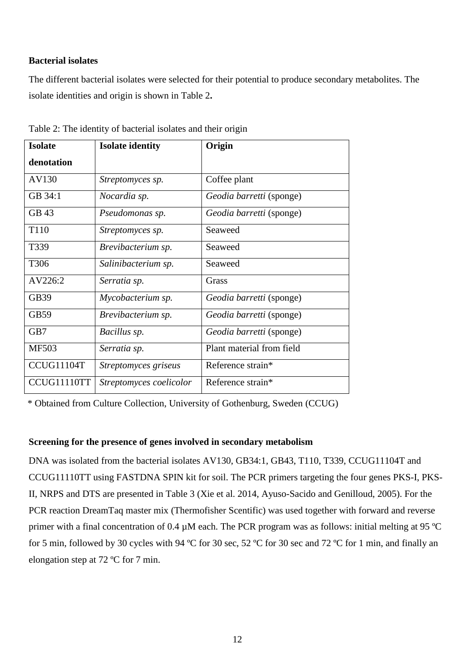#### <span id="page-13-0"></span>**Bacterial isolates**

The different bacterial isolates were selected for their potential to produce secondary metabolites. The isolate identities and origin is shown in Table 2**.** 

| <b>Isolate</b> | <b>Isolate identity</b> | Origin                          |
|----------------|-------------------------|---------------------------------|
| denotation     |                         |                                 |
| AV130          | Streptomyces sp.        | Coffee plant                    |
| GB 34:1        | Nocardia sp.            | Geodia barretti (sponge)        |
| GB 43          | Pseudomonas sp.         | <i>Geodia barretti</i> (sponge) |
| T110           | Streptomyces sp.        | Seaweed                         |
| T339           | Brevibacterium sp.      | Seaweed                         |
| T306           | Salinibacterium sp.     | Seaweed                         |
| AV226:2        | Serratia sp.            | Grass                           |
| GB39           | Mycobacterium sp.       | Geodia barretti (sponge)        |
| <b>GB59</b>    | Brevibacterium sp.      | Geodia barretti (sponge)        |
| GB7            | Bacillus sp.            | Geodia barretti (sponge)        |
| <b>MF503</b>   | Serratia sp.            | Plant material from field       |
| CCUG11104T     | Streptomyces griseus    | Reference strain*               |
| CCUG11110TT    | Streptomyces coelicolor | Reference strain*               |

Table 2: The identity of bacterial isolates and their origin

\* Obtained from Culture Collection, University of Gothenburg, Sweden (CCUG)

#### <span id="page-13-1"></span>**Screening for the presence of genes involved in secondary metabolism**

DNA was isolated from the bacterial isolates AV130, GB34:1, GB43, T110, T339, CCUG11104T and CCUG11110TT using FASTDNA SPIN kit for soil. The PCR primers targeting the four genes PKS-I, PKS-II, NRPS and DTS are presented in Table 3 (Xie et al. 2014, Ayuso-Sacido and Genilloud, 2005). For the PCR reaction DreamTaq master mix (Thermofisher Scentific) was used together with forward and reverse primer with a final concentration of 0.4  $\mu$ M each. The PCR program was as follows: initial melting at 95 °C for 5 min, followed by 30 cycles with 94 ºC for 30 sec, 52 ºC for 30 sec and 72 ºC for 1 min, and finally an elongation step at 72 ºC for 7 min.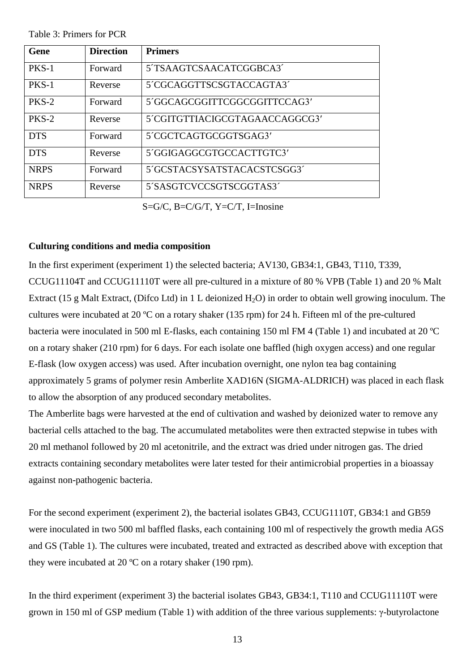Table 3: Primers for PCR

| Gene        | <b>Direction</b> | <b>Primers</b>                 |
|-------------|------------------|--------------------------------|
| PKS-1       | Forward          | 5TSAAGTCSAACATCGGBCA3          |
| PKS-1       | Reverse          | 5'CGCAGGTTSCSGTACCAGTA3'       |
| PKS-2       | Forward          | 5'GGCAGCGGITTCGGCGGITTCCAG3'   |
| PKS-2       | Reverse          | 5'CGITGTTIACIGCGTAGAACCAGGCG3' |
| <b>DTS</b>  | Forward          | 5'CGCTCAGTGCGGTSGAG3'          |
| <b>DTS</b>  | Reverse          | 5'GGIGAGGCGTGCCACTTGTC3'       |
| <b>NRPS</b> | Forward          | 5'GCSTACSYSATSTACACSTCSGG3'    |
| <b>NRPS</b> | Reverse          | 5'SASGTCVCCSGTSCGGTAS3'        |

S=G/C, B=C/G/T, Y=C/T, I=Inosine

#### <span id="page-14-0"></span>**Culturing conditions and media composition**

In the first experiment (experiment 1) the selected bacteria; AV130, GB34:1, GB43, T110, T339, CCUG11104T and CCUG11110T were all pre-cultured in a mixture of 80 % VPB (Table 1) and 20 % Malt Extract (15 g Malt Extract, (Difco Ltd) in 1 L deionized  $H_2O$ ) in order to obtain well growing inoculum. The cultures were incubated at 20 ºC on a rotary shaker (135 rpm) for 24 h. Fifteen ml of the pre-cultured bacteria were inoculated in 500 ml E-flasks, each containing 150 ml FM 4 (Table 1) and incubated at 20 ºC on a rotary shaker (210 rpm) for 6 days. For each isolate one baffled (high oxygen access) and one regular E-flask (low oxygen access) was used. After incubation overnight, one nylon tea bag containing approximately 5 grams of polymer resin Amberlite XAD16N (SIGMA-ALDRICH) was placed in each flask to allow the absorption of any produced secondary metabolites.

The Amberlite bags were harvested at the end of cultivation and washed by deionized water to remove any bacterial cells attached to the bag. The accumulated metabolites were then extracted stepwise in tubes with 20 ml methanol followed by 20 ml acetonitrile, and the extract was dried under nitrogen gas. The dried extracts containing secondary metabolites were later tested for their antimicrobial properties in a bioassay against non-pathogenic bacteria.

For the second experiment (experiment 2), the bacterial isolates GB43, CCUG1110T, GB34:1 and GB59 were inoculated in two 500 ml baffled flasks, each containing 100 ml of respectively the growth media AGS and GS (Table 1). The cultures were incubated, treated and extracted as described above with exception that they were incubated at 20 ºC on a rotary shaker (190 rpm).

In the third experiment (experiment 3) the bacterial isolates GB43, GB34:1, T110 and CCUG11110T were grown in 150 ml of GSP medium (Table 1) with addition of the three various supplements: γ-butyrolactone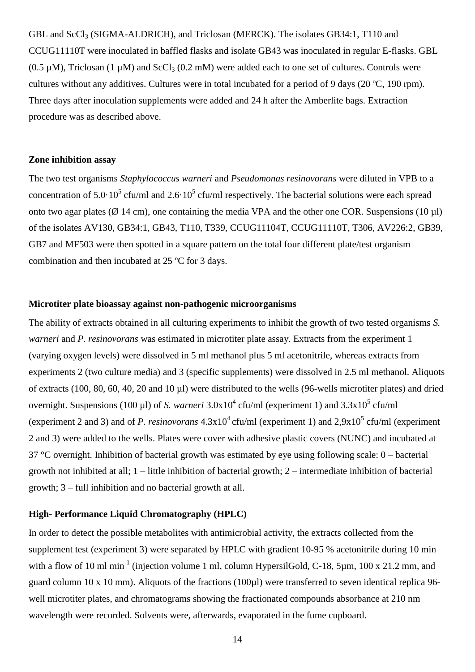GBL and ScCl<sub>3</sub> (SIGMA-ALDRICH), and Triclosan (MERCK). The isolates GB34:1, T110 and CCUG11110T were inoculated in baffled flasks and isolate GB43 was inoculated in regular E-flasks. GBL  $(0.5 \mu M)$ , Triclosan  $(1 \mu M)$  and  $ScCl<sub>3</sub>(0.2 \mu M)$  were added each to one set of cultures. Controls were cultures without any additives. Cultures were in total incubated for a period of 9 days (20 ºC, 190 rpm). Three days after inoculation supplements were added and 24 h after the Amberlite bags. Extraction procedure was as described above.

#### <span id="page-15-0"></span>**Zone inhibition assay**

The two test organisms *Staphylococcus warneri* and *Pseudomonas resinovorans* were diluted in VPB to a concentration of  $5.0 \cdot 10^5$  cfu/ml and  $2.6 \cdot 10^5$  cfu/ml respectively. The bacterial solutions were each spread onto two agar plates ( $\varnothing$  14 cm), one containing the media VPA and the other one COR. Suspensions (10 µl) of the isolates AV130, GB34:1, GB43, T110, T339, CCUG11104T, CCUG11110T, T306, AV226:2, GB39, GB7 and MF503 were then spotted in a square pattern on the total four different plate/test organism combination and then incubated at 25 ºC for 3 days.

#### <span id="page-15-1"></span>**Microtiter plate bioassay against non-pathogenic microorganisms**

The ability of extracts obtained in all culturing experiments to inhibit the growth of two tested organisms *S. warneri* and *P. resinovorans* was estimated in microtiter plate assay. Extracts from the experiment 1 (varying oxygen levels) were dissolved in 5 ml methanol plus 5 ml acetonitrile, whereas extracts from experiments 2 (two culture media) and 3 (specific supplements) were dissolved in 2.5 ml methanol. Aliquots of extracts (100, 80, 60, 40, 20 and 10 µl) were distributed to the wells (96-wells microtiter plates) and dried overnight. Suspensions (100 µl) of *S. warneri*  $3.0x10^4$  cfu/ml (experiment 1) and  $3.3x10^5$  cfu/ml (experiment 2 and 3) and of *P. resinovorans*  $4.3 \times 10^4$  cfu/ml (experiment 1) and  $2.9 \times 10^5$  cfu/ml (experiment 2 and 3) were added to the wells. Plates were cover with adhesive plastic covers (NUNC) and incubated at  $37^{\circ}$ C overnight. Inhibition of bacterial growth was estimated by eye using following scale: 0 – bacterial growth not inhibited at all; 1 – little inhibition of bacterial growth; 2 – intermediate inhibition of bacterial growth; 3 – full inhibition and no bacterial growth at all.

#### <span id="page-15-2"></span>**High- Performance Liquid Chromatography (HPLC)**

In order to detect the possible metabolites with antimicrobial activity, the extracts collected from the supplement test (experiment 3) were separated by HPLC with gradient 10-95 % acetonitrile during 10 min with a flow of 10 ml min<sup>-1</sup> (injection volume 1 ml, column HypersilGold, C-18, 5 $\mu$ m, 100 x 21.2 mm, and guard column 10 x 10 mm). Aliquots of the fractions (100µl) were transferred to seven identical replica 96 well microtiter plates, and chromatograms showing the fractionated compounds absorbance at 210 nm wavelength were recorded. Solvents were, afterwards, evaporated in the fume cupboard.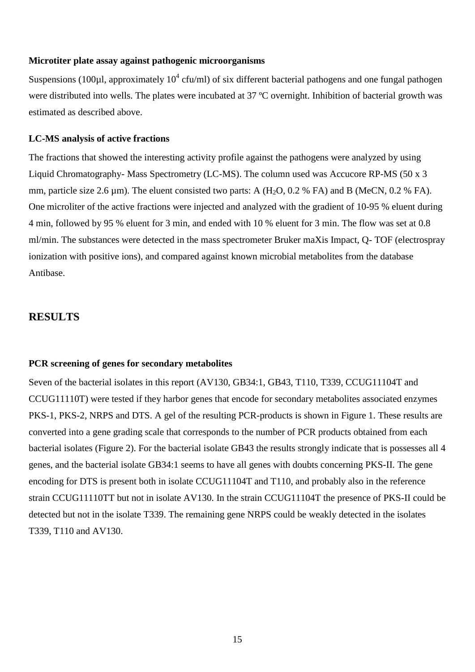#### <span id="page-16-0"></span>**Microtiter plate assay against pathogenic microorganisms**

Suspensions (100 $\mu$ l, approximately 10<sup>4</sup> cfu/ml) of six different bacterial pathogens and one fungal pathogen were distributed into wells. The plates were incubated at 37 °C overnight. Inhibition of bacterial growth was estimated as described above.

#### <span id="page-16-1"></span>**LC-MS analysis of active fractions**

The fractions that showed the interesting activity profile against the pathogens were analyzed by using Liquid Chromatography- Mass Spectrometry (LC-MS). The column used was Accucore RP-MS (50 x 3 mm, particle size 2.6  $\mu$ m). The eluent consisted two parts: A (H<sub>2</sub>O, 0.2 % FA) and B (MeCN, 0.2 % FA). One microliter of the active fractions were injected and analyzed with the gradient of 10-95 % eluent during 4 min, followed by 95 % eluent for 3 min, and ended with 10 % eluent for 3 min. The flow was set at 0.8 ml/min. The substances were detected in the mass spectrometer Bruker maXis Impact, Q- TOF (electrospray ionization with positive ions), and compared against known microbial metabolites from the database Antibase.

#### <span id="page-16-2"></span>**RESULTS**

#### <span id="page-16-3"></span>**PCR screening of genes for secondary metabolites**

Seven of the bacterial isolates in this report (AV130, GB34:1, GB43, T110, T339, CCUG11104T and CCUG11110T) were tested if they harbor genes that encode for secondary metabolites associated enzymes PKS-1, PKS-2, NRPS and DTS. A gel of the resulting PCR-products is shown in Figure 1. These results are converted into a gene grading scale that corresponds to the number of PCR products obtained from each bacterial isolates (Figure 2). For the bacterial isolate GB43 the results strongly indicate that is possesses all 4 genes, and the bacterial isolate GB34:1 seems to have all genes with doubts concerning PKS-II. The gene encoding for DTS is present both in isolate CCUG11104T and T110, and probably also in the reference strain CCUG11110TT but not in isolate AV130. In the strain CCUG11104T the presence of PKS-II could be detected but not in the isolate T339. The remaining gene NRPS could be weakly detected in the isolates T339, T110 and AV130.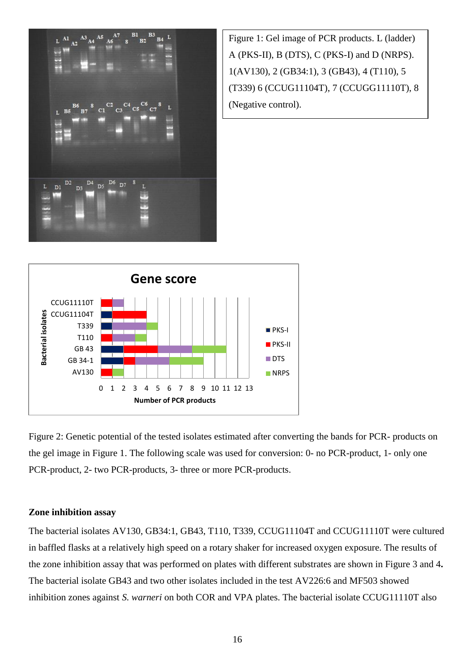

Figure 1: Gel image of PCR products. L (ladder) A (PKS-II), B (DTS), C (PKS-I) and D (NRPS). 1(AV130), 2 (GB34:1), 3 (GB43), 4 (T110), 5 (T339) 6 (CCUG11104T), 7 (CCUGG11110T), 8 (Negative control).



Figure 2: Genetic potential of the tested isolates estimated after converting the bands for PCR- products on the gel image in Figure 1. The following scale was used for conversion: 0- no PCR-product, 1- only one PCR-product, 2- two PCR-products, 3- three or more PCR-products.

#### <span id="page-17-0"></span>**Zone inhibition assay**

The bacterial isolates AV130, GB34:1, GB43, T110, T339, CCUG11104T and CCUG11110T were cultured in baffled flasks at a relatively high speed on a rotary shaker for increased oxygen exposure. The results of the zone inhibition assay that was performed on plates with different substrates are shown in Figure 3 and 4**.** The bacterial isolate GB43 and two other isolates included in the test AV226:6 and MF503 showed inhibition zones against *S. warneri* on both COR and VPA plates. The bacterial isolate CCUG11110T also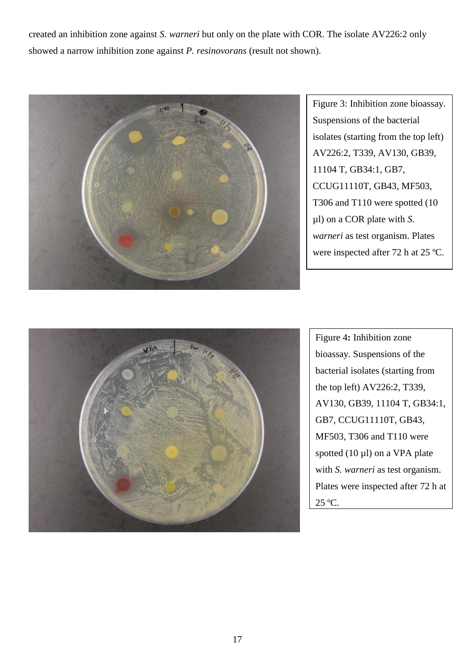created an inhibition zone against *S. warneri* but only on the plate with COR. The isolate AV226:2 only showed a narrow inhibition zone against *P. resinovorans* (result not shown).



Figure 3: Inhibition zone bioassay. Suspensions of the bacterial isolates (starting from the top left) AV226:2, T339, AV130, GB39, 11104 T, GB34:1, GB7, CCUG11110T, GB43, MF503, T306 and T110 were spotted (10 µl) on a COR plate with *S. warneri* as test organism. Plates were inspected after 72 h at 25 ºC.



Figure 4**:** Inhibition zone bioassay. Suspensions of the bacterial isolates (starting from the top left) AV226:2, T339, AV130, GB39, 11104 T, GB34:1, GB7, CCUG11110T, GB43, MF503, T306 and T110 were spotted  $(10 \mu l)$  on a VPA plate with *S. warneri* as test organism. Plates were inspected after 72 h at 25 ºC.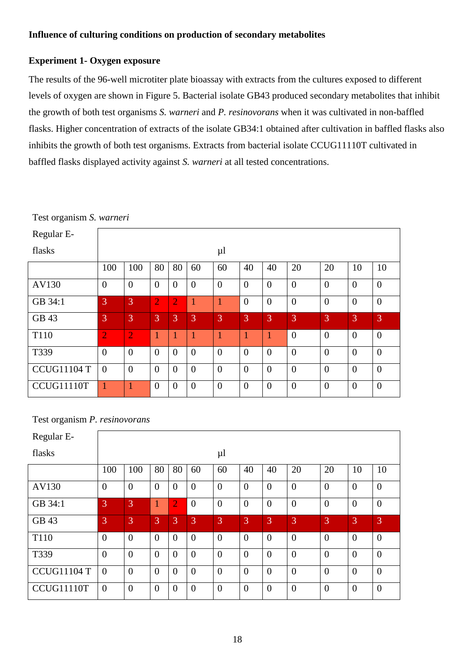#### <span id="page-19-1"></span><span id="page-19-0"></span>**Experiment 1- Oxygen exposure**

The results of the 96-well microtiter plate bioassay with extracts from the cultures exposed to different levels of oxygen are shown in Figure 5. Bacterial isolate GB43 produced secondary metabolites that inhibit the growth of both test organisms *S. warneri* and *P. resinovorans* when it was cultivated in non-baffled flasks. Higher concentration of extracts of the isolate GB34:1 obtained after cultivation in baffled flasks also inhibits the growth of both test organisms. Extracts from bacterial isolate CCUG11110T cultivated in baffled flasks displayed activity against *S. warneri* at all tested concentrations.

| Regular E-         |                |                |                |                |                |                |                |                |                |                |                |                  |
|--------------------|----------------|----------------|----------------|----------------|----------------|----------------|----------------|----------------|----------------|----------------|----------------|------------------|
| flasks             |                |                |                |                |                | $\mu$          |                |                |                |                |                |                  |
|                    | 100            | 100            | 80             | 80             | 60             | 60             | 40             | 40             | 20             | 20             | 10             | 10               |
| AV130              | $\overline{0}$ | $\overline{0}$ | $\overline{0}$ | $\overline{0}$ | $\overline{0}$ | $\overline{0}$ | $\overline{0}$ | $\overline{0}$ | $\overline{0}$ | $\overline{0}$ | $\overline{0}$ | $\overline{0}$   |
| GB 34:1            | $\overline{3}$ | 3              | $\overline{2}$ | $\overline{2}$ | 1              | 1              | $\overline{0}$ | $\overline{0}$ | $\overline{0}$ | $\overline{0}$ | $\overline{0}$ | $\overline{0}$   |
| GB 43              | 3              | 3              | 3              | 3              | 3              | 3              | 3              | 3              | 3              | 3              | 3              | 3                |
| T110               | $\overline{2}$ | $\overline{2}$ | $\mathbf{1}$   | 1              | 1              | 1              |                |                | $\overline{0}$ | $\overline{0}$ | $\overline{0}$ | $\overline{0}$   |
| T339               | $\overline{0}$ | $\overline{0}$ | $\overline{0}$ | $\overline{0}$ | $\overline{0}$ | $\overline{0}$ | $\overline{0}$ | $\overline{0}$ | $\overline{0}$ | $\overline{0}$ | $\overline{0}$ | $\overline{0}$   |
| <b>CCUG11104 T</b> | $\overline{0}$ | $\overline{0}$ | $\overline{0}$ | $\overline{0}$ | $\overline{0}$ | $\overline{0}$ | $\overline{0}$ | $\overline{0}$ | $\overline{0}$ | $\overline{0}$ | $\overline{0}$ | $\boldsymbol{0}$ |
| CCUG11110T         | 1              |                | $\overline{0}$ | $\Omega$       | $\overline{0}$ | $\overline{0}$ | $\overline{0}$ | $\overline{0}$ | $\overline{0}$ | $\overline{0}$ | $\overline{0}$ | $\overline{0}$   |

Test organism *S. warneri*

### Test organism *P. resinovorans*

| Regular E-         |                |                |                |                       |                |                  |                  |                  |                  |                  |                |                |
|--------------------|----------------|----------------|----------------|-----------------------|----------------|------------------|------------------|------------------|------------------|------------------|----------------|----------------|
| flasks             |                |                |                |                       |                | $\mu$            |                  |                  |                  |                  |                |                |
|                    | 100            | 100            | 80             | 80                    | 60             | 60               | 40               | 40               | 20               | 20               | 10             | 10             |
| AV130              | $\overline{0}$ | $\mathbf{0}$   | $\overline{0}$ | $\overline{0}$        | $\overline{0}$ | $\overline{0}$   | $\overline{0}$   | $\overline{0}$   | $\overline{0}$   | $\overline{0}$   | $\overline{0}$ | $\overline{0}$ |
| GB 34:1            | 3              | 3              | 1              | $\mathbf{2}^{\prime}$ | $\overline{0}$ | $\boldsymbol{0}$ | $\boldsymbol{0}$ | $\boldsymbol{0}$ | $\boldsymbol{0}$ | $\mathbf{0}$     | $\overline{0}$ | $\theta$       |
| GB 43              | 3              | 3              | 3              | 3                     | 3              | 3                | 3                | 3                | 3                | 3                | 3              | 3              |
| T110               | $\overline{0}$ | $\mathbf{0}$   | $\overline{0}$ | $\overline{0}$        | $\theta$       | $\overline{0}$   | $\overline{0}$   | $\overline{0}$   | $\overline{0}$   | $\boldsymbol{0}$ | $\overline{0}$ | $\theta$       |
| T339               | $\overline{0}$ | $\theta$       | $\overline{0}$ | $\overline{0}$        | $\overline{0}$ | $\overline{0}$   | $\overline{0}$   | $\overline{0}$   | $\overline{0}$   | $\mathbf{0}$     | $\overline{0}$ | $\theta$       |
| <b>CCUG11104 T</b> | $\overline{0}$ | $\overline{0}$ | $\Omega$       | $\overline{0}$        | $\overline{0}$ | $\overline{0}$   | $\overline{0}$   | $\overline{0}$   | $\overline{0}$   | $\overline{0}$   | $\overline{0}$ | $\overline{0}$ |
| CCUG11110T         | $\overline{0}$ | $\overline{0}$ | $\overline{0}$ | $\theta$              | $\theta$       | $\overline{0}$   | $\overline{0}$   | $\overline{0}$   | $\overline{0}$   | $\overline{0}$   | $\overline{0}$ | $\overline{0}$ |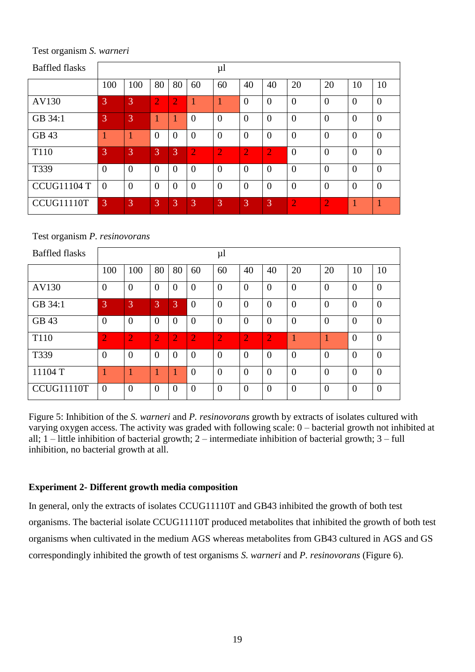Baffled flasks | ul 100 | 100 | 80 | 80 | 60 | 60 | 40 | 40 | 20 | 20 | 10 | 10 AV130 3 3 2 2 1 1 0 0 0 0 0 0 GB 34:1 3 3 3 1 1 0 0 0 0 0 0 0 0 0 0 GB 43 1 1 0 0 0 0 0 0 0 0 0 0 T110 3 3 3 3 2 2 2 2 0 0 0 0 T339 0 0 0 0 0 0 0 0 0 0 0 0  $CCUG11104 T 0 0 0 0 0 0 0 0 0 0 0 0 0 0$ CCUG11110T 3 3 3 3 3 3 3 3 3 3 4  $2$  2 1 1

Test organism *S. warneri*

Test organism *P. resinovorans*

| <b>Baffled flasks</b> |                |                |                |                |                | $\mu$          |                |                |                |                |                |                |
|-----------------------|----------------|----------------|----------------|----------------|----------------|----------------|----------------|----------------|----------------|----------------|----------------|----------------|
|                       | 100            | 100            | 80             | 80             | 60             | 60             | 40             | 40             | 20             | 20             | 10             | 10             |
| AV130                 | $\overline{0}$ | $\overline{0}$ | $\Omega$       | $\theta$       | $\overline{0}$ | $\overline{0}$ | $\overline{0}$ | $\overline{0}$ | $\overline{0}$ | $\overline{0}$ | $\overline{0}$ | $\overline{0}$ |
| GB 34:1               | 3              | 3              | 3              | 3              | $\theta$       | $\overline{0}$ | $\overline{0}$ | $\overline{0}$ | $\overline{0}$ | $\overline{0}$ | $\overline{0}$ | $\overline{0}$ |
| GB 43                 | $\overline{0}$ | $\overline{0}$ | $\theta$       | $\overline{0}$ | $\theta$       | $\overline{0}$ | $\overline{0}$ | $\overline{0}$ | $\overline{0}$ | $\overline{0}$ | $\overline{0}$ | $\theta$       |
| T110                  | $\overline{2}$ | $\overline{2}$ | $\overline{2}$ | $\overline{2}$ | $\overline{2}$ | $\overline{2}$ | $\overline{2}$ | $\overline{2}$ | 1              |                | $\overline{0}$ | $\overline{0}$ |
| T339                  | $\overline{0}$ | $\overline{0}$ | $\Omega$       | $\Omega$       | $\overline{0}$ | $\overline{0}$ | $\overline{0}$ | $\overline{0}$ | $\overline{0}$ | $\overline{0}$ | $\overline{0}$ | $\overline{0}$ |
| 11104T                |                |                |                |                | $\overline{0}$ | $\overline{0}$ | $\theta$       | $\overline{0}$ | $\overline{0}$ | $\overline{0}$ | $\theta$       | $\overline{0}$ |
| CCUG11110T            | $\overline{0}$ | $\overline{0}$ | $\Omega$       | $\Omega$       | $\Omega$       | $\overline{0}$ | $\theta$       | $\overline{0}$ | $\Omega$       | $\overline{0}$ | $\theta$       | $\overline{0}$ |

Figure 5: Inhibition of the *S. warneri* and *P. resinovorans* growth by extracts of isolates cultured with varying oxygen access. The activity was graded with following scale: 0 – bacterial growth not inhibited at all; 1 – little inhibition of bacterial growth; 2 – intermediate inhibition of bacterial growth; 3 – full inhibition, no bacterial growth at all.

#### <span id="page-20-0"></span>**Experiment 2- Different growth media composition**

In general, only the extracts of isolates CCUG11110T and GB43 inhibited the growth of both test organisms. The bacterial isolate CCUG11110T produced metabolites that inhibited the growth of both test organisms when cultivated in the medium AGS whereas metabolites from GB43 cultured in AGS and GS correspondingly inhibited the growth of test organisms *S. warneri* and *P. resinovorans* (Figure 6).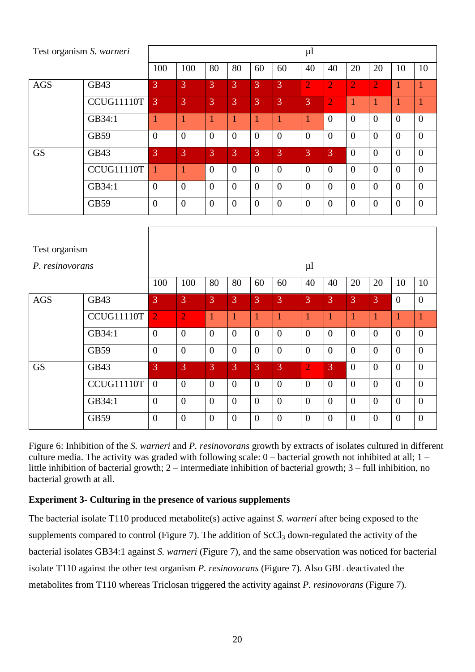| Test organism S. warneri |             |                |                |                |                |                |                | $\mu$          |                |                |                |                |                |
|--------------------------|-------------|----------------|----------------|----------------|----------------|----------------|----------------|----------------|----------------|----------------|----------------|----------------|----------------|
|                          |             | 100            | 100            | 80             | 80             | 60             | 60             | 40             | 40             | 20             | 20             | 10             | 10             |
| <b>AGS</b>               | GB43        | $\overline{3}$ | 3              | 3              | $\overline{3}$ | 3              | $\overline{3}$ | $\overline{2}$ | $\overline{2}$ | $\overline{2}$ | $\overline{2}$ | 1              |                |
|                          | CCUG11110T  | 3              | 3              | $\overline{3}$ | 3              | $\overline{3}$ | 3              | 3              | $\overline{2}$ | 1              |                |                |                |
|                          | GB34:1      | п              | 1              |                |                |                |                |                | $\Omega$       | $\theta$       | $\theta$       | $\overline{0}$ | $\theta$       |
|                          | <b>GB59</b> | $\overline{0}$ | $\theta$       | $\overline{0}$ | $\theta$       | $\overline{0}$ | $\overline{0}$ | $\Omega$       | $\Omega$       | $\theta$       | $\overline{0}$ | $\overline{0}$ | $\overline{0}$ |
| <b>GS</b>                | GB43        | 3              | 3              | 3              | 3              | 3              | 3              | 3              | $\overline{3}$ | $\overline{0}$ | $\overline{0}$ | $\overline{0}$ | $\overline{0}$ |
|                          | CCUG11110T  | 1              |                | $\theta$       | $\overline{0}$ | $\overline{0}$ | $\overline{0}$ | $\Omega$       | $\theta$       | $\theta$       | $\overline{0}$ | $\overline{0}$ | $\overline{0}$ |
|                          | GB34:1      | $\overline{0}$ | $\overline{0}$ | $\overline{0}$ | $\Omega$       | $\overline{0}$ | $\overline{0}$ | $\Omega$       | $\Omega$       | $\Omega$       | $\theta$       | $\overline{0}$ | $\overline{0}$ |
|                          | GB59        | $\overline{0}$ | $\overline{0}$ | $\overline{0}$ | $\theta$       | $\theta$       | $\overline{0}$ | $\theta$       | $\Omega$       | $\theta$       | $\theta$       | $\overline{0}$ | $\overline{0}$ |

| Test organism   |            |                |                |                |                |                |                |                |                |                |                |                |                  |
|-----------------|------------|----------------|----------------|----------------|----------------|----------------|----------------|----------------|----------------|----------------|----------------|----------------|------------------|
| P. resinovorans |            | $\mu$          |                |                |                |                |                |                |                |                |                |                |                  |
|                 | 100        | 100            | 80             | 80             | 60             | 60             | 40             | 40             | 20             | 20             | 10             | 10             |                  |
| <b>AGS</b>      | GB43       | 3              | 3              | 3              | 3              | 3              | 3              | 3              | 3              | 3              | 3              | $\theta$       | $\overline{0}$   |
|                 | CCUG11110T | $\overline{2}$ | $\overline{2}$ | $\mathbf{1}$   |                |                |                |                |                |                |                | 1              | 1                |
|                 | GB34:1     | $\overline{0}$ | $\overline{0}$ | $\overline{0}$ | $\overline{0}$ | $\overline{0}$ | $\overline{0}$ | $\Omega$       | $\overline{0}$ | $\overline{0}$ | $\theta$       | $\overline{0}$ | $\overline{0}$   |
|                 | GB59       | $\overline{0}$ | $\theta$       | $\overline{0}$ | $\theta$       | $\overline{0}$ | $\overline{0}$ | $\overline{0}$ | $\overline{0}$ | $\overline{0}$ | $\overline{0}$ | $\overline{0}$ | $\boldsymbol{0}$ |
| <b>GS</b>       | GB43       | 3              | 3              | 3              | 3              | 3              | 3              | $\overline{2}$ | 3              | $\overline{0}$ | $\theta$       | $\overline{0}$ | $\boldsymbol{0}$ |
|                 | CCUG11110T | $\theta$       | $\theta$       | $\overline{0}$ | $\overline{0}$ | $\overline{0}$ | $\overline{0}$ | $\theta$       | $\Omega$       | $\overline{0}$ | $\theta$       | $\overline{0}$ | $\theta$         |
|                 | GB34:1     | $\overline{0}$ | $\overline{0}$ | $\overline{0}$ | $\theta$       | $\overline{0}$ | $\overline{0}$ | $\theta$       | $\overline{0}$ | $\overline{0}$ | $\theta$       | $\overline{0}$ | $\boldsymbol{0}$ |
|                 | GB59       | $\overline{0}$ | $\theta$       | $\overline{0}$ | $\theta$       | $\theta$       | $\overline{0}$ | $\Omega$       | $\Omega$       | $\Omega$       | $\theta$       | $\overline{0}$ | $\overline{0}$   |

Figure 6: Inhibition of the *S. warneri* and *P. resinovorans* growth by extracts of isolates cultured in different culture media. The activity was graded with following scale: 0 – bacterial growth not inhibited at all; 1 – little inhibition of bacterial growth; 2 – intermediate inhibition of bacterial growth; 3 – full inhibition, no bacterial growth at all.

### <span id="page-21-0"></span>**Experiment 3- Culturing in the presence of various supplements**

The bacterial isolate T110 produced metabolite(s) active against *S. warneri* after being exposed to the supplements compared to control (Figure 7). The addition of  $ScCl<sub>3</sub>$  down-regulated the activity of the bacterial isolates GB34:1 against *S. warneri* (Figure 7), and the same observation was noticed for bacterial isolate T110 against the other test organism *P. resinovorans* (Figure 7). Also GBL deactivated the metabolites from T110 whereas Triclosan triggered the activity against *P. resinovorans* (Figure 7)*.*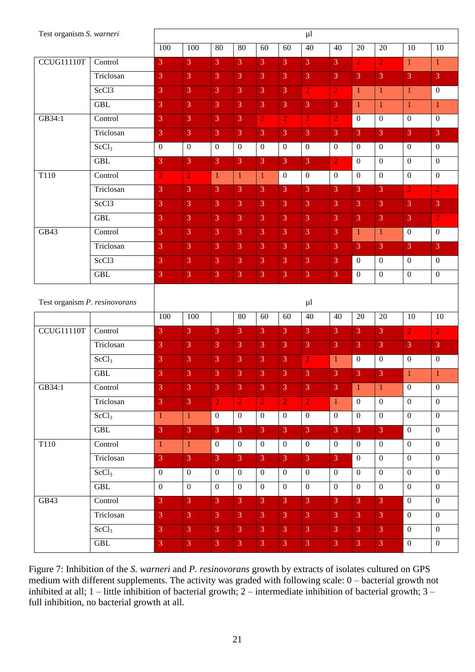Figure 7: Inhibition of the *S. warneri* and *P. resinovorans* growth by extracts of isolates cultured on GPS medium with different supplements. The activity was graded with following scale: 0 – bacterial growth not inhibited at all; 1 – little inhibition of bacterial growth; 2 – intermediate inhibition of bacterial growth; 3 – full inhibition, no bacterial growth at all.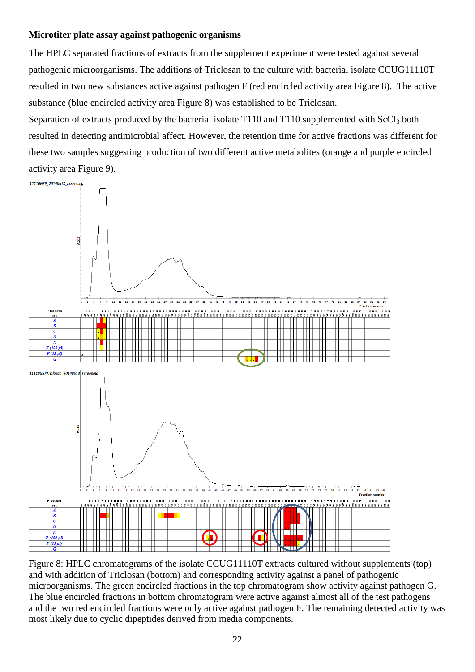#### <span id="page-23-0"></span>**Microtiter plate assay against pathogenic organisms**

The HPLC separated fractions of extracts from the supplement experiment were tested against several pathogenic microorganisms. The additions of Triclosan to the culture with bacterial isolate CCUG11110T resulted in two new substances active against pathogen F (red encircled activity area Figure 8). The active substance (blue encircled activity area Figure 8) was established to be Triclosan.

Separation of extracts produced by the bacterial isolate  $T110$  and  $T110$  supplemented with  $ScCl<sub>3</sub>$  both resulted in detecting antimicrobial affect. However, the retention time for active fractions was different for these two samples suggesting production of two different active metabolites (orange and purple encircled activity area Figure 9).



Figure 8: HPLC chromatograms of the isolate CCUG11110T extracts cultured without supplements (top) and with addition of Triclosan (bottom) and corresponding activity against a panel of pathogenic microorganisms. The green encircled fractions in the top chromatogram show activity against pathogen G. The blue encircled fractions in bottom chromatogram were active against almost all of the test pathogens and the two red encircled fractions were only active against pathogen F. The remaining detected activity was most likely due to cyclic dipeptides derived from media components.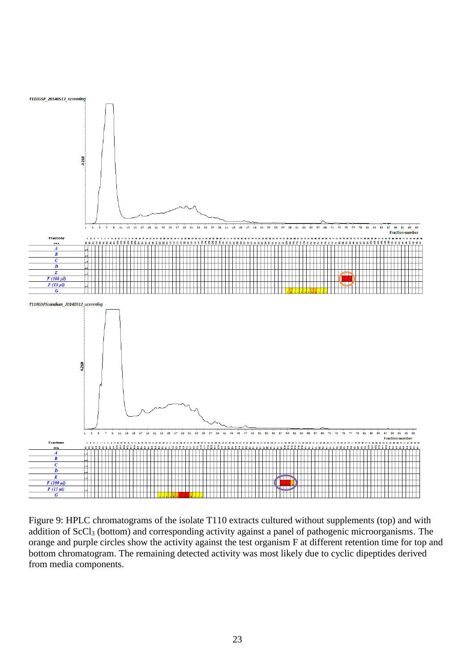

Figure 9: HPLC chromatograms of the isolate T110 extracts cultured without supplements (top) and with addition of ScCl<sub>3</sub> (bottom) and corresponding activity against a panel of pathogenic microorganisms. The orange and purple circles show the activity against the test organism F at different retention time for top and bottom chromatogram. The remaining detected activity was most likely due to cyclic dipeptides derived from media components.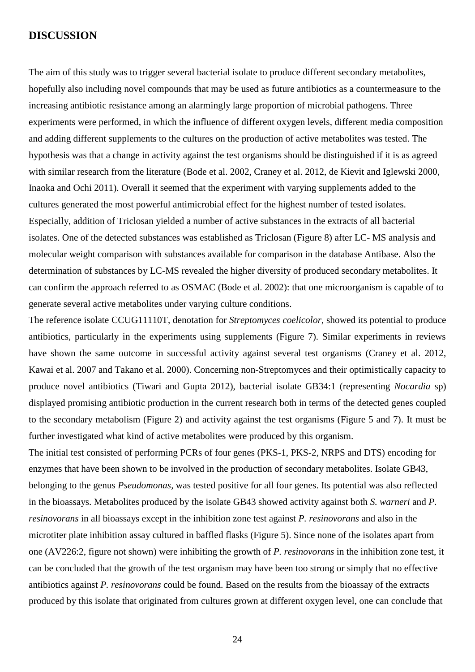#### <span id="page-25-0"></span>**DISCUSSION**

The aim of this study was to trigger several bacterial isolate to produce different secondary metabolites, hopefully also including novel compounds that may be used as future antibiotics as a countermeasure to the increasing antibiotic resistance among an alarmingly large proportion of microbial pathogens. Three experiments were performed, in which the influence of different oxygen levels, different media composition and adding different supplements to the cultures on the production of active metabolites was tested. The hypothesis was that a change in activity against the test organisms should be distinguished if it is as agreed with similar research from the literature (Bode et al. 2002, Craney et al. 2012, de Kievit and Iglewski 2000, Inaoka and Ochi 2011). Overall it seemed that the experiment with varying supplements added to the cultures generated the most powerful antimicrobial effect for the highest number of tested isolates. Especially, addition of Triclosan yielded a number of active substances in the extracts of all bacterial isolates. One of the detected substances was established as Triclosan (Figure 8) after LC- MS analysis and molecular weight comparison with substances available for comparison in the database Antibase. Also the determination of substances by LC-MS revealed the higher diversity of produced secondary metabolites. It can confirm the approach referred to as OSMAC (Bode et al. 2002): that one microorganism is capable of to generate several active metabolites under varying culture conditions.

The reference isolate CCUG11110T, denotation for *Streptomyces coelicolor,* showed its potential to produce antibiotics, particularly in the experiments using supplements (Figure 7). Similar experiments in reviews have shown the same outcome in successful activity against several test organisms (Craney et al. 2012, Kawai et al. 2007 and Takano et al. 2000). Concerning non-Streptomyces and their optimistically capacity to produce novel antibiotics (Tiwari and Gupta 2012), bacterial isolate GB34:1 (representing *Nocardia* sp) displayed promising antibiotic production in the current research both in terms of the detected genes coupled to the secondary metabolism (Figure 2) and activity against the test organisms (Figure 5 and 7). It must be further investigated what kind of active metabolites were produced by this organism.

The initial test consisted of performing PCRs of four genes (PKS-1, PKS-2, NRPS and DTS) encoding for enzymes that have been shown to be involved in the production of secondary metabolites. Isolate GB43, belonging to the genus *Pseudomonas,* was tested positive for all four genes. Its potential was also reflected in the bioassays. Metabolites produced by the isolate GB43 showed activity against both *S. warneri* and *P. resinovorans* in all bioassays except in the inhibition zone test against *P. resinovorans* and also in the microtiter plate inhibition assay cultured in baffled flasks (Figure 5). Since none of the isolates apart from one (AV226:2, figure not shown) were inhibiting the growth of *P. resinovorans* in the inhibition zone test, it can be concluded that the growth of the test organism may have been too strong or simply that no effective antibiotics against *P. resinovorans* could be found. Based on the results from the bioassay of the extracts produced by this isolate that originated from cultures grown at different oxygen level, one can conclude that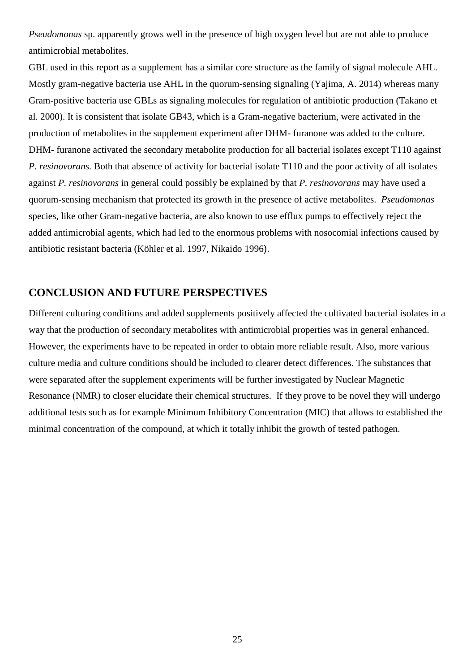*Pseudomonas* sp. apparently grows well in the presence of high oxygen level but are not able to produce antimicrobial metabolites.

GBL used in this report as a supplement has a similar core structure as the family of signal molecule AHL. Mostly gram-negative bacteria use AHL in the quorum-sensing signaling (Yajima, A. 2014) whereas many Gram-positive bacteria use GBLs as signaling molecules for regulation of antibiotic production (Takano et al. 2000). It is consistent that isolate GB43, which is a Gram-negative bacterium, were activated in the production of metabolites in the supplement experiment after DHM- furanone was added to the culture. DHM- furanone activated the secondary metabolite production for all bacterial isolates except T110 against *P. resinovorans.* Both that absence of activity for bacterial isolate T110 and the poor activity of all isolates against *P. resinovorans* in general could possibly be explained by that *P. resinovorans* may have used a quorum-sensing mechanism that protected its growth in the presence of active metabolites. *Pseudomonas*  species, like other Gram-negative bacteria, are also known to use efflux pumps to effectively reject the added antimicrobial agents, which had led to the enormous problems with nosocomial infections caused by antibiotic resistant bacteria (Köhler et al. 1997, Nikaido 1996).

## <span id="page-26-0"></span>**CONCLUSION AND FUTURE PERSPECTIVES**

Different culturing conditions and added supplements positively affected the cultivated bacterial isolates in a way that the production of secondary metabolites with antimicrobial properties was in general enhanced. However, the experiments have to be repeated in order to obtain more reliable result. Also, more various culture media and culture conditions should be included to clearer detect differences. The substances that were separated after the supplement experiments will be further investigated by Nuclear Magnetic Resonance (NMR) to closer elucidate their chemical structures. If they prove to be novel they will undergo additional tests such as for example Minimum Inhibitory Concentration (MIC) that allows to established the minimal concentration of the compound, at which it totally inhibit the growth of tested pathogen.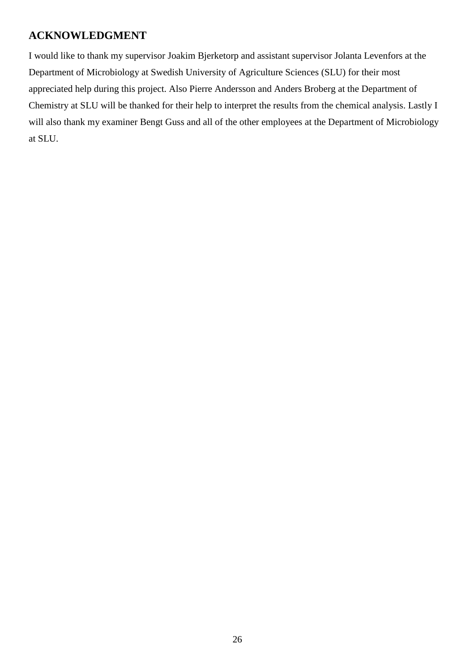# <span id="page-27-0"></span>**ACKNOWLEDGMENT**

I would like to thank my supervisor Joakim Bjerketorp and assistant supervisor Jolanta Levenfors at the Department of Microbiology at Swedish University of Agriculture Sciences (SLU) for their most appreciated help during this project. Also Pierre Andersson and Anders Broberg at the Department of Chemistry at SLU will be thanked for their help to interpret the results from the chemical analysis. Lastly I will also thank my examiner Bengt Guss and all of the other employees at the Department of Microbiology at SLU.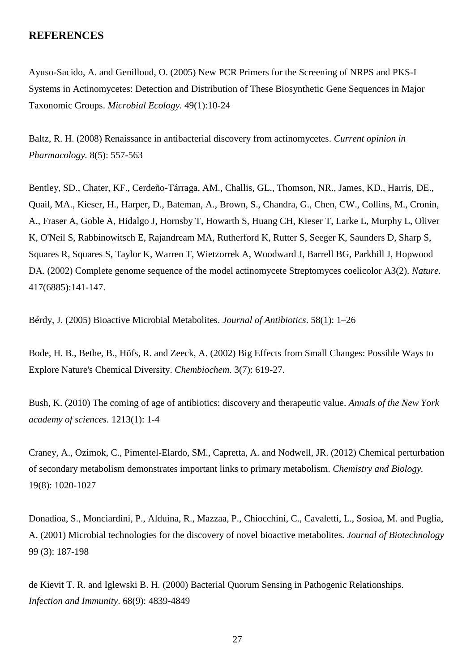#### <span id="page-28-0"></span>**REFERENCES**

Ayuso-Sacido, A. and Genilloud, O. (2005) New PCR Primers for the Screening of NRPS and PKS-I Systems in Actinomycetes: Detection and Distribution of These Biosynthetic Gene Sequences in Major Taxonomic Groups. *Microbial Ecology.* 49(1):10-24

Baltz, R. H. (2008) Renaissance in antibacterial discovery from actinomycetes. *Current opinion in Pharmacology.* 8(5): 557-563

Bentley, SD., Chater, KF., Cerdeño-Tárraga, AM., Challis, GL., Thomson, NR., James, KD., Harris, DE., Quail, MA., Kieser, H., Harper, D., Bateman, A., Brown, S., Chandra, G., Chen, CW., Collins, M., Cronin, A., Fraser A, Goble A, Hidalgo J, Hornsby T, Howarth S, Huang CH, Kieser T, Larke L, Murphy L, Oliver K, O'Neil S, Rabbinowitsch E, Rajandream MA, Rutherford K, Rutter S, Seeger K, Saunders D, Sharp S, Squares R, Squares S, Taylor K, Warren T, Wietzorrek A, Woodward J, Barrell BG, Parkhill J, Hopwood DA. (2002) Complete genome sequence of the model actinomycete Streptomyces coelicolor A3(2). *Nature.*  417(6885):141-147.

Bérdy, J. (2005) Bioactive Microbial Metabolites. *Journal of Antibiotics*. 58(1): 1–26

Bode, H. B., Bethe, B., Höfs, R. and Zeeck, A. (2002) Big Effects from Small Changes: Possible Ways to Explore Nature's Chemical Diversity. *Chembiochem*. 3(7): 619-27.

Bush, K. (2010) The coming of age of antibiotics: discovery and therapeutic value. *Annals of the New York academy of sciences.* 1213(1): 1-4

Craney, A., Ozimok, C., Pimentel-Elardo, SM., Capretta, A. and Nodwell, JR. (2012) Chemical perturbation of secondary metabolism demonstrates important links to primary metabolism. *Chemistry and Biology.*  19(8): 1020-1027

Donadioa, S., Monciardini, P., Alduina, R., Mazzaa, P., Chiocchini, C., Cavaletti, L., Sosioa, M. and Puglia, A. (2001) Microbial technologies for the discovery of novel bioactive metabolites. *Journal of Biotechnology* 99 (3): 187-198

de Kievit T. R. and Iglewski B. H. (2000) Bacterial Quorum Sensing in Pathogenic Relationships. *Infection and Immunity*. 68(9): 4839-4849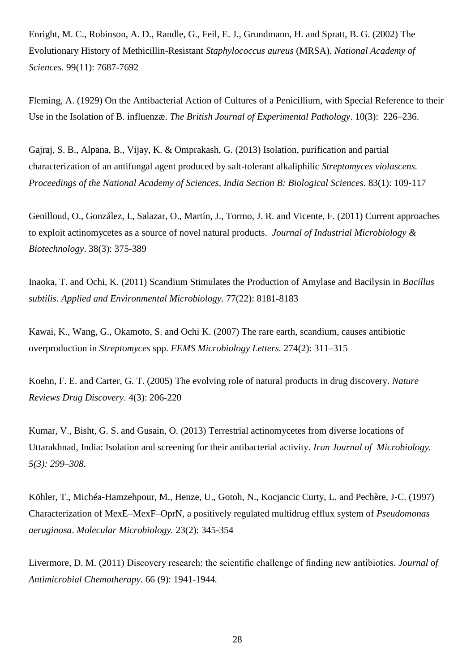Enright, M. C., Robinson, A. D., Randle, G., Feil, E. J., Grundmann, H. and Spratt, B. G. (2002) The Evolutionary History of Methicillin-Resistant *Staphylococcus aureus* (MRSA). *National Academy of Sciences.* 99(11): 7687-7692

Fleming, A. (1929) On the Antibacterial Action of Cultures of a Penicillium, with Special Reference to their Use in the Isolation of B. influenzæ. *The British Journal of Experimental Pathology*. 10(3): 226–236.

Gajraj, S. B., Alpana, B., Vijay, K. & Omprakash, G. (2013) Isolation, purification and partial characterization of an antifungal agent produced by salt-tolerant alkaliphilic *Streptomyces violascens. Proceedings of the National Academy of Sciences, India Section B: Biological Sciences.* 83(1): 109-117

Genilloud, O., González, I., Salazar, O., Martín, J., Tormo, J. R. and Vicente, F. (2011) Current approaches to exploit actinomycetes as a source of novel natural products. *Journal of Industrial Microbiology & Biotechnology*. 38(3): 375-389

Inaoka, T. and Ochi, K. (2011) Scandium Stimulates the Production of Amylase and Bacilysin in *Bacillus subtilis. Applied and Environmental Microbiology.* 77(22): 8181-8183

Kawai, K., Wang, G., Okamoto, S. and Ochi K. (2007) The rare earth, scandium, causes antibiotic overproduction in *Streptomyces* spp. *FEMS Microbiology Letters.* 274(2): 311–315

Koehn, F. E. and Carter, G. T. (2005) The evolving role of natural products in drug discovery. *Nature Reviews Drug Discovery*. 4(3): 206-220

Kumar, V., Bisht, G. S. and Gusain, O. (2013) Terrestrial actinomycetes from diverse locations of Uttarakhnad, India: Isolation and screening for their antibacterial activity. *Iran Journal of Microbiology. 5(3): 299–308.*

Köhler, T., Michéa-Hamzehpour, M., Henze, U., Gotoh, N., Kocjancic Curty, L. and Pechère, J-C. (1997) Characterization of MexE–MexF–OprN, a positively regulated multidrug efflux system of *Pseudomonas aeruginosa*. *Molecular Microbiology.* 23(2): 345-354

Livermore, D. M. (2011) Discovery research: the scientific challenge of finding new antibiotics. *Journal of Antimicrobial Chemotherapy.* 66 (9): 1941-1944*.*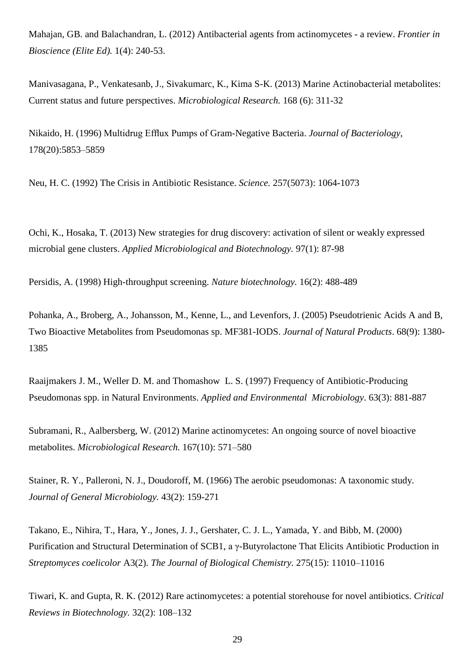Mahajan, GB. and Balachandran, L. (2012) Antibacterial agents from actinomycetes - a review. *Frontier in Bioscience (Elite Ed).* 1(4): 240-53.

Manivasagana, P., Venkatesanb, J., Sivakumarc, K., Kima S-K. (2013) Marine Actinobacterial metabolites: Current status and future perspectives. *Microbiological Research.* 168 (6): 311-32

Nikaido, H. (1996) Multidrug Efflux Pumps of Gram-Negative Bacteria. *Journal of Bacteriology*, 178(20):5853–5859

Neu, H. C. (1992) The Crisis in Antibiotic Resistance. *Science.* 257(5073): 1064-1073

Ochi, K., Hosaka, T. (2013) New strategies for drug discovery: activation of silent or weakly expressed microbial gene clusters. *Applied Microbiological and Biotechnology.* 97(1): 87-98

Persidis, A. (1998) High-throughput screening. *Nature biotechnology.* 16(2): 488-489

Pohanka, A., Broberg, A., Johansson, M., Kenne, L., and Levenfors, J. (2005) Pseudotrienic Acids A and B, Two Bioactive Metabolites from Pseudomonas sp. MF381-IODS. *Journal of Natural Products*. 68(9): 1380- 1385

Raaijmakers J. M., Weller D. M. and Thomashow L. S. (1997) Frequency of Antibiotic-Producing Pseudomonas spp. in Natural Environments. *Applied and Environmental Microbiology*. 63(3): 881-887

Subramani, R., Aalbersberg, W. (2012) Marine actinomycetes: An ongoing source of novel bioactive metabolites. *Microbiological Research.* 167(10): 571–580

Stainer, R. Y., Palleroni, N. J., Doudoroff, M. (1966) The aerobic pseudomonas: A taxonomic study. *Journal of General Microbiology.* 43(2): 159-271

Takano, E., Nihira, T., Hara, Y., Jones, J. J., Gershater, C. J. L., Yamada, Y. and Bibb, M. (2000) Purification and Structural Determination of SCB1, a γ-Butyrolactone That Elicits Antibiotic Production in *Streptomyces coelicolor* A3(2). *The Journal of Biological Chemistry.* 275(15): 11010–11016

Tiwari, K. and Gupta, R. K. (2012) Rare actinomycetes: a potential storehouse for novel antibiotics. *Critical Reviews in Biotechnology.* 32(2): 108–132